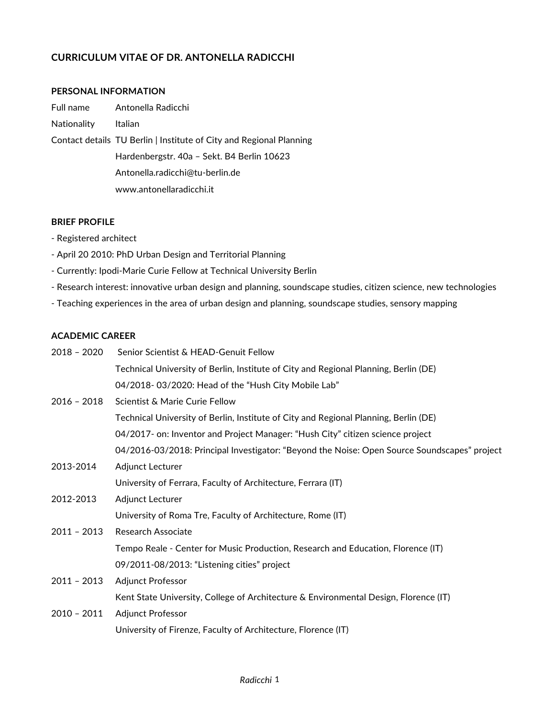## **CURRICULUM VITAE OF DR. ANTONELLA RADICCHI**

#### **PERSONAL INFORMATION**

| Full name          | Antonella Radicchi                                                  |
|--------------------|---------------------------------------------------------------------|
| <b>Nationality</b> | Italian                                                             |
|                    | Contact details TU Berlin   Institute of City and Regional Planning |
|                    | Hardenbergstr. 40a - Sekt. B4 Berlin 10623                          |
|                    | Antonella.radicchi@tu-berlin.de                                     |
|                    | www.antonellaradicchi.it                                            |

#### **BRIEF PROFILE**

- Registered architect
- April 20 2010: PhD Urban Design and Territorial Planning
- Currently: Ipodi-Marie Curie Fellow at Technical University Berlin
- Research interest: innovative urban design and planning, soundscape studies, citizen science, new technologies
- Teaching experiences in the area of urban design and planning, soundscape studies, sensory mapping

## **ACADEMIC CAREER**

| 2018 - 2020   | Senior Scientist & HEAD-Genuit Fellow                                                        |
|---------------|----------------------------------------------------------------------------------------------|
|               | Technical University of Berlin, Institute of City and Regional Planning, Berlin (DE)         |
|               | 04/2018-03/2020: Head of the "Hush City Mobile Lab"                                          |
| 2016 - 2018   | Scientist & Marie Curie Fellow                                                               |
|               | Technical University of Berlin, Institute of City and Regional Planning, Berlin (DE)         |
|               | 04/2017- on: Inventor and Project Manager: "Hush City" citizen science project               |
|               | 04/2016-03/2018: Principal Investigator: "Beyond the Noise: Open Source Soundscapes" project |
| 2013-2014     | Adjunct Lecturer                                                                             |
|               | University of Ferrara, Faculty of Architecture, Ferrara (IT)                                 |
| 2012-2013     | Adjunct Lecturer                                                                             |
|               | University of Roma Tre, Faculty of Architecture, Rome (IT)                                   |
| $2011 - 2013$ | Research Associate                                                                           |
|               | Tempo Reale - Center for Music Production, Research and Education, Florence (IT)             |
|               | 09/2011-08/2013: "Listening cities" project                                                  |
| $2011 - 2013$ | <b>Adjunct Professor</b>                                                                     |
|               | Kent State University, College of Architecture & Environmental Design, Florence (IT)         |
| 2010 - 2011   | <b>Adjunct Professor</b>                                                                     |
|               | University of Firenze, Faculty of Architecture, Florence (IT)                                |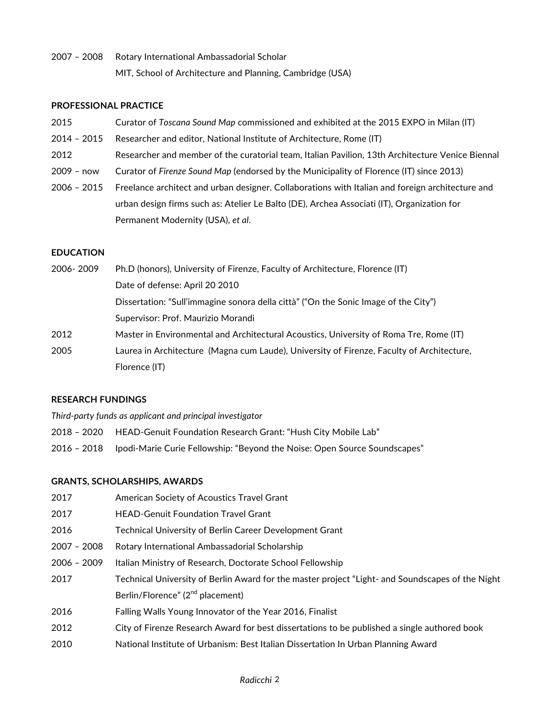2007 – 2008 Rotary International Ambassadorial Scholar MIT, School of Architecture and Planning, Cambridge (USA)

#### **PROFESSIONAL PRACTICE**

- 2015 Curator of *Toscana Sound Map* commissioned and exhibited at the 2015 EXPO in Milan (IT)
- 2014 2015 Researcher and editor, National Institute of Architecture, Rome (IT)
- 2012 Researcher and member of the curatorial team, Italian Pavilion, 13th Architecture Venice Biennal
- 2009 now Curator of *Firenze Sound Map* (endorsed by the Municipality of Florence (IT) since 2013)
- 2006 2015 Freelance architect and urban designer. Collaborations with Italian and foreign architecture and urban design firms such as: Atelier Le Balto (DE), Archea Associati (IT), Organization for Permanent Modernity (USA), *et al*.

#### **EDUCATION**

| 2006-2009 | Ph.D (honors), University of Firenze, Faculty of Architecture, Florence (IT)              |
|-----------|-------------------------------------------------------------------------------------------|
|           | Date of defense: April 20 2010                                                            |
|           | Dissertation: "Sull'immagine sonora della città" ("On the Sonic Image of the City")       |
|           | Supervisor: Prof. Maurizio Morandi                                                        |
| 2012      | Master in Environmental and Architectural Acoustics, University of Roma Tre, Rome (IT)    |
| 2005      | Laurea in Architecture (Magna cum Laude), University of Firenze, Faculty of Architecture, |
|           | Florence (IT)                                                                             |

#### **RESEARCH FUNDINGS**

*Third-party funds as applicant and principal investigator*

- 2018 2020 HEAD-Genuit Foundation Research Grant: "Hush City Mobile Lab"
- 2016 2018 Ipodi-Marie Curie Fellowship: "Beyond the Noise: Open Source Soundscapes"

#### **GRANTS, SCHOLARSHIPS, AWARDS**

- 2017 American Society of Acoustics Travel Grant
- 2017 HEAD-Genuit Foundation Travel Grant
- 2016 Technical University of Berlin Career Development Grant
- 2007 2008 Rotary International Ambassadorial Scholarship
- 2006 2009 Italian Ministry of Research, Doctorate School Fellowship
- 2017 Technical University of Berlin Award for the master project "Light- and Soundscapes of the Night Berlin/Florence" (2<sup>nd</sup> placement)
- 2016 Falling Walls Young Innovator of the Year 2016, Finalist
- 2012 City of Firenze Research Award for best dissertations to be published a single authored book
- 2010 National Institute of Urbanism: Best Italian Dissertation In Urban Planning Award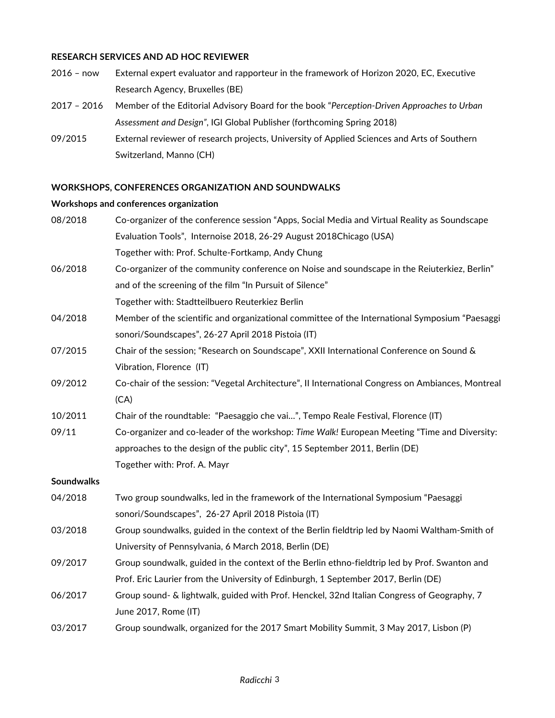#### **RESEARCH SERVICES AND AD HOC REVIEWER**

- 2016 now External expert evaluator and rapporteur in the framework of Horizon 2020, EC, Executive Research Agency, Bruxelles (BE)
- 2017 2016 Member of the Editorial Advisory Board for the book "*Perception-Driven Approaches to Urban Assessment and Design"*, IGI Global Publisher (forthcoming Spring 2018)
- 09/2015 External reviewer of research projects, University of Applied Sciences and Arts of Southern Switzerland, Manno (CH)

#### **WORKSHOPS, CONFERENCES ORGANIZATION AND SOUNDWALKS**

#### **Workshops and conferences organization**

| 08/2018           | Co-organizer of the conference session "Apps, Social Media and Virtual Reality as Soundscape      |
|-------------------|---------------------------------------------------------------------------------------------------|
|                   | Evaluation Tools", Internoise 2018, 26-29 August 2018Chicago (USA)                                |
|                   | Together with: Prof. Schulte-Fortkamp, Andy Chung                                                 |
| 06/2018           | Co-organizer of the community conference on Noise and soundscape in the Reiuterkiez, Berlin"      |
|                   | and of the screening of the film "In Pursuit of Silence"                                          |
|                   | Together with: Stadtteilbuero Reuterkiez Berlin                                                   |
| 04/2018           | Member of the scientific and organizational committee of the International Symposium "Paesaggi    |
|                   | sonori/Soundscapes", 26-27 April 2018 Pistoia (IT)                                                |
| 07/2015           | Chair of the session; "Research on Soundscape", XXII International Conference on Sound &          |
|                   | Vibration, Florence (IT)                                                                          |
| 09/2012           | Co-chair of the session: "Vegetal Architecture", II International Congress on Ambiances, Montreal |
|                   | (CA)                                                                                              |
| 10/2011           | Chair of the roundtable: "Paesaggio che vai", Tempo Reale Festival, Florence (IT)                 |
| 09/11             | Co-organizer and co-leader of the workshop: Time Walk! European Meeting "Time and Diversity:      |
|                   | approaches to the design of the public city", 15 September 2011, Berlin (DE)                      |
|                   | Together with: Prof. A. Mayr                                                                      |
| <b>Soundwalks</b> |                                                                                                   |
| 04/2018           | Two group soundwalks, led in the framework of the International Symposium "Paesaggi               |
|                   | sonori/Soundscapes", 26-27 April 2018 Pistoia (IT)                                                |
| 03/2018           | Group soundwalks, guided in the context of the Berlin fieldtrip led by Naomi Waltham-Smith of     |
|                   | University of Pennsylvania, 6 March 2018, Berlin (DE)                                             |
| 09/2017           | Group soundwalk, guided in the context of the Berlin ethno-fieldtrip led by Prof. Swanton and     |
|                   | Prof. Eric Laurier from the University of Edinburgh, 1 September 2017, Berlin (DE)                |
| 06/2017           | Group sound- & lightwalk, guided with Prof. Henckel, 32nd Italian Congress of Geography, 7        |
|                   | June 2017, Rome (IT)                                                                              |
| 03/2017           | Group soundwalk, organized for the 2017 Smart Mobility Summit, 3 May 2017, Lisbon (P)             |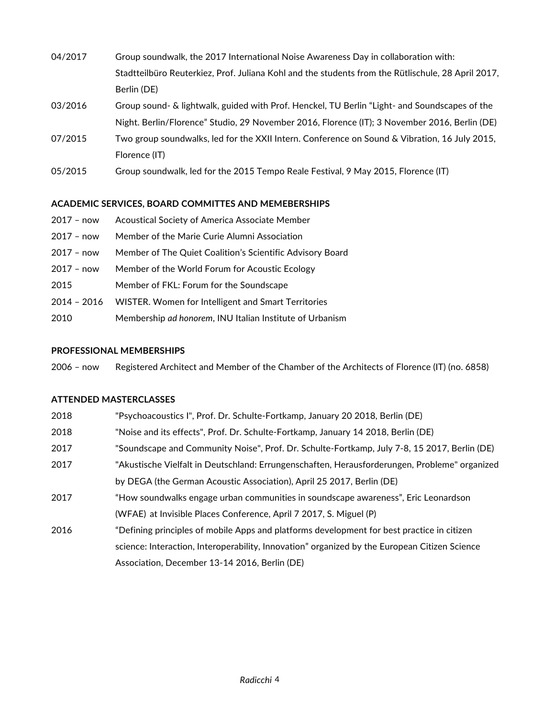- 04/2017 Group soundwalk, the 2017 International Noise Awareness Day in collaboration with: Stadtteilbüro Reuterkiez, Prof. Juliana Kohl and the students from the Rütlischule, 28 April 2017, Berlin (DE)
- 03/2016 Group sound- & lightwalk, guided with Prof. Henckel, TU Berlin "Light- and Soundscapes of the Night. Berlin/Florence" Studio, 29 November 2016, Florence (IT); 3 November 2016, Berlin (DE)
- 07/2015 Two group soundwalks, led for the XXII Intern. Conference on Sound & Vibration, 16 July 2015, Florence (IT)
- 05/2015 Group soundwalk, led for the 2015 Tempo Reale Festival, 9 May 2015, Florence (IT)

## **ACADEMIC SERVICES, BOARD COMMITTES AND MEMEBERSHIPS**

- 2017 now Acoustical Society of America Associate Member
- 2017 now Member of the Marie Curie Alumni Association
- 2017 now Member of The Quiet Coalition's Scientific Advisory Board
- 2017 now Member of the World Forum for Acoustic Ecology
- 2015 Member of FKL: Forum for the Soundscape
- 2014 2016 WISTER. Women for Intelligent and Smart Territories
- 2010 Membership *ad honorem*, INU Italian Institute of Urbanism

## **PROFESSIONAL MEMBERSHIPS**

2006 – now Registered Architect and Member of the Chamber of the Architects of Florence (IT) (no. 6858)

## **ATTENDED MASTERCLASSES**

| 2018 | "Psychoacoustics I", Prof. Dr. Schulte-Fortkamp, January 20 2018, Berlin (DE)                 |
|------|-----------------------------------------------------------------------------------------------|
| 2018 | "Noise and its effects", Prof. Dr. Schulte-Fortkamp, January 14 2018, Berlin (DE)             |
| 2017 | "Soundscape and Community Noise", Prof. Dr. Schulte-Fortkamp, July 7-8, 15 2017, Berlin (DE)  |
| 2017 | "Akustische Vielfalt in Deutschland: Errungenschaften, Herausforderungen, Probleme" organized |
|      | by DEGA (the German Acoustic Association), April 25 2017, Berlin (DE)                         |
| 2017 | "How soundwalks engage urban communities in soundscape awareness", Eric Leonardson            |
|      | (WFAE) at Invisible Places Conference, April 7 2017, S. Miguel (P)                            |
| 2016 | "Defining principles of mobile Apps and platforms development for best practice in citizen    |
|      | science: Interaction, Interoperability, Innovation" organized by the European Citizen Science |
|      | Association, December 13-14 2016, Berlin (DE)                                                 |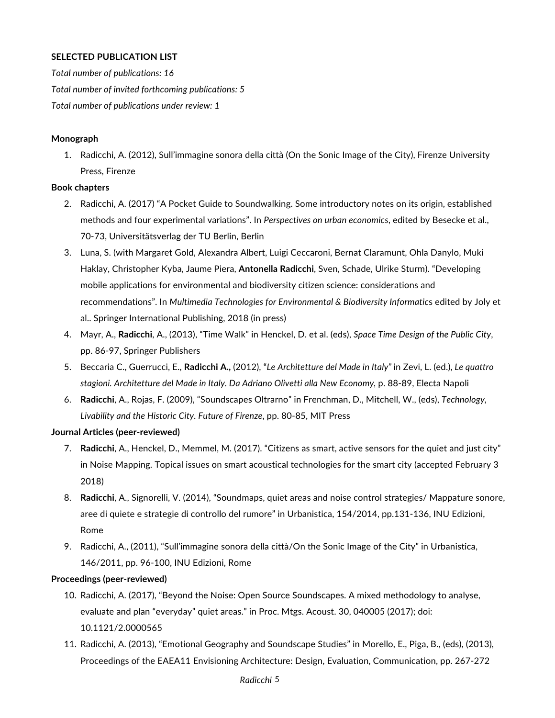## **SELECTED PUBLICATION LIST**

*Total number of publications: 16 Total number of invited forthcoming publications: 5 Total number of publications under review: 1*

#### **Monograph**

1. Radicchi, A. (2012), Sull'immagine sonora della città (On the Sonic Image of the City), Firenze University Press, Firenze

#### **Book chapters**

- 2. Radicchi, A. (2017) "A Pocket Guide to Soundwalking. Some introductory notes on its origin, established methods and four experimental variations". In *Perspectives on urban economics*, edited by Besecke et al., 70-73, Universitätsverlag der TU Berlin, Berlin
- 3. Luna, S. (with Margaret Gold, Alexandra Albert, Luigi Ceccaroni, Bernat Claramunt, Ohla Danylo, Muki Haklay, Christopher Kyba, Jaume Piera, **Antonella Radicchi**, Sven, Schade, Ulrike Sturm). "Developing mobile applications for environmental and biodiversity citizen science: considerations and recommendations". In *Multimedia Technologies for Environmental & Biodiversity Informatic*s edited by Joly et al.. Springer International Publishing, 2018 (in press)
- 4. Mayr, A., **Radicchi**, A., (2013), "Time Walk" in Henckel, D. et al. (eds), *Space Time Design of the Public City*, pp. 86-97, Springer Publishers
- 5. Beccaria C., Guerrucci, E., **Radicchi A.,** (2012), "*Le Architetture del Made in Italy"* in Zevi, L. (ed.), *Le quattro*  stagioni. Architetture del Made in Italy. Da Adriano Olivetti alla New Economy, p. 88-89, Electa Napoli
- 6. **Radicchi**, A., Rojas, F. (2009), "Soundscapes Oltrarno" in Frenchman, D., Mitchell, W., (eds), *Technology, Livability and the Historic City. Future of Firenze*, pp. 80-85, MIT Press

## **Journal Articles (peer-reviewed)**

- 7. **Radicchi**, A., Henckel, D., Memmel, M. (2017). "Citizens as smart, active sensors for the quiet and just city" in Noise Mapping. Topical issues on smart acoustical technologies for the smart city (accepted February 3 2018)
- 8. **Radicchi**, A., Signorelli, V. (2014), "Soundmaps, quiet areas and noise control strategies/ Mappature sonore, aree di quiete e strategie di controllo del rumore" in Urbanistica, 154/2014, pp.131-136, INU Edizioni, Rome
- 9. Radicchi, A., (2011), "Sull'immagine sonora della città/On the Sonic Image of the City" in Urbanistica, 146/2011, pp. 96-100, INU Edizioni, Rome

#### **Proceedings (peer-reviewed)**

- 10. Radicchi, A. (2017), "Beyond the Noise: Open Source Soundscapes. A mixed methodology to analyse, evaluate and plan "everyday" quiet areas." in Proc. Mtgs. Acoust. 30, 040005 (2017); doi: 10.1121/2.0000565
- 11. Radicchi, A. (2013), "Emotional Geography and Soundscape Studies" in Morello, E., Piga, B., (eds), (2013), Proceedings of the EAEA11 Envisioning Architecture: Design, Evaluation, Communication, pp. 267-272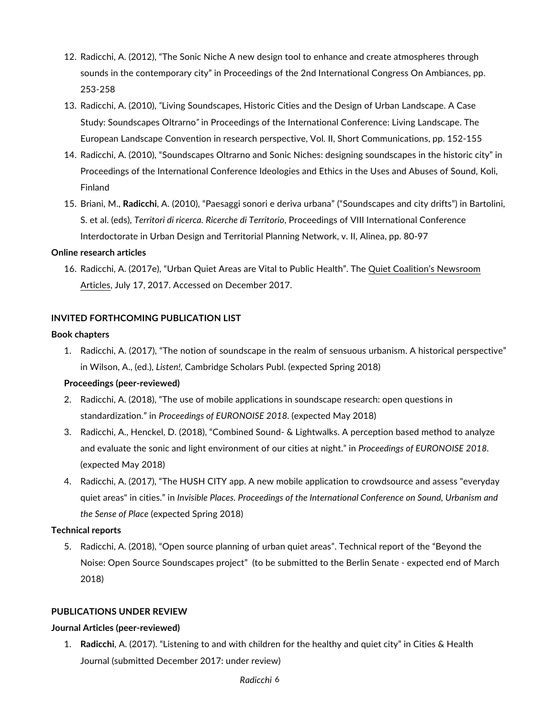- 12. Radicchi, A. (2012), "The Sonic Niche A new design tool to enhance and create atmospheres through sounds in the contemporary city" in Proceedings of the 2nd International Congress On Ambiances, pp. 253-258
- 13. Radicchi, A. (2010), *"*Living Soundscapes, Historic Cities and the Design of Urban Landscape. A Case Study: Soundscapes Oltrarno*"* in Proceedings of the International Conference: Living Landscape. The European Landscape Convention in research perspective, Vol. II, Short Communications, pp. 152-155
- 14. Radicchi, A. (2010), "Soundscapes Oltrarno and Sonic Niches: designing soundscapes in the historic city" in Proceedings of the International Conference Ideologies and Ethics in the Uses and Abuses of Sound, Koli, Finland
- 15. Briani, M., **Radicchi**, A. (2010), "Paesaggi sonori e deriva urbana" ("Soundscapes and city drifts") in Bartolini, S. et al. (eds), *Territori di ricerca. Ricerche di Territorio*, Proceedings of VIII International Conference Interdoctorate in Urban Design and Territorial Planning Network, v. II, Alinea, pp. 80-97

#### **Online research articles**

16. Radicchi, A. (2017e), "Urban Quiet Areas are Vital to Public Health". The Quiet Coalition's Newsroom Articles, July 17, 2017. Accessed on December 2017.

#### **INVITED FORTHCOMING PUBLICATION LIST**

#### **Book chapters**

1. Radicchi, A. (2017), "The notion of soundscape in the realm of sensuous urbanism. A historical perspective" in Wilson, A., (ed.), *Listen!,* Cambridge Scholars Publ. (expected Spring 2018)

## **Proceedings (peer-reviewed)**

- 2. Radicchi, A. (2018), "The use of mobile applications in soundscape research: open questions in standardization." in *Proceedings of EURONOISE 2018.* (expected May 2018)
- 3. Radicchi, A., Henckel, D. (2018), "Combined Sound- & Lightwalks. A perception based method to analyze and evaluate the sonic and light environment of our cities at night." in *Proceedings of EURONOISE 2018.*  (expected May 2018)
- 4. Radicchi, A. (2017), "The HUSH CITY app. A new mobile application to crowdsource and assess "everyday quiet areas" in cities." in *Invisible Places. Proceedings of the International Conference on Sound, Urbanism and the Sense of Place* (expected Spring 2018)

## **Technical reports**

5. Radicchi, A. (2018), "Open source planning of urban quiet areas". Technical report of the "Beyond the Noise: Open Source Soundscapes project" (to be submitted to the Berlin Senate - expected end of March 2018)

## **PUBLICATIONS UNDER REVIEW**

## **Journal Articles (peer-reviewed)**

1. **Radicchi**, A. (2017). "Listening to and with children for the healthy and quiet city" in Cities & Health Journal (submitted December 2017: under review)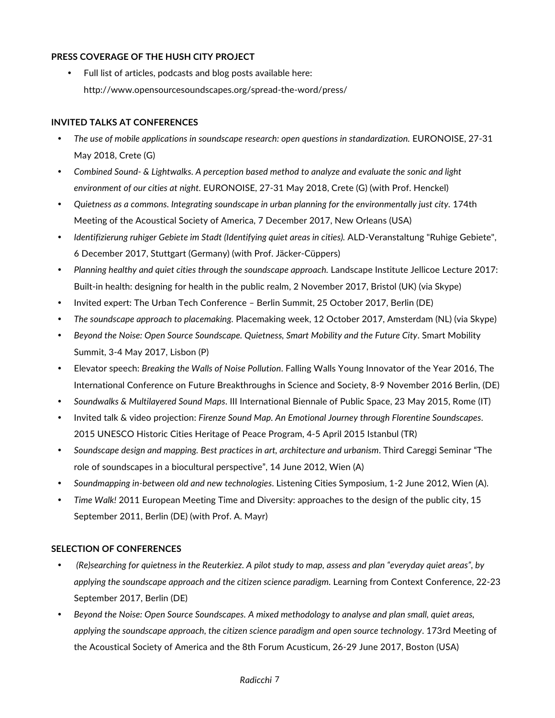## **PRESS COVERAGE OF THE HUSH CITY PROJECT**

• Full list of articles, podcasts and blog posts available here: http://www.opensourcesoundscapes.org/spread-the-word/press/

## **INVITED TALKS AT CONFERENCES**

- *The use of mobile applications in soundscape research: open questions in standardization.* EURONOISE, 27-31 May 2018, Crete (G)
- *Combined Sound- & Lightwalks. A perception based method to analyze and evaluate the sonic and light environment of our cities at night.* EURONOISE, 27-31 May 2018, Crete (G) (with Prof. Henckel)
- *Quietness as a commons. Integrating soundscape in urban planning for the environmentally just city.* 174th Meeting of the Acoustical Society of America, 7 December 2017, New Orleans (USA)
- *Identifizierung ruhiger Gebiete im Stadt (Identifying quiet areas in cities).* ALD-Veranstaltung "Ruhige Gebiete", 6 December 2017, Stuttgart (Germany) (with Prof. Jäcker-Cüppers)
- *Planning healthy and quiet cities through the soundscape approach.* Landscape Institute Jellicoe Lecture 2017: Built-in health: designing for health in the public realm, 2 November 2017, Bristol (UK) (via Skype)
- Invited expert: The Urban Tech Conference Berlin Summit, 25 October 2017, Berlin (DE)
- *The soundscape approach to placemaking.* Placemaking week, 12 October 2017, Amsterdam (NL) (via Skype)
- *Beyond the Noise: Open Source Soundscape. Quietness, Smart Mobility and the Future City*. Smart Mobility Summit, 3-4 May 2017, Lisbon (P)
- Elevator speech: *Breaking the Walls of Noise Pollution*. Falling Walls Young Innovator of the Year 2016, The International Conference on Future Breakthroughs in Science and Society, 8-9 November 2016 Berlin, (DE)
- *Soundwalks & Multilayered Sound Maps*. III International Biennale of Public Space, 23 May 2015, Rome (IT)
- Invited talk & video projection: *Firenze Sound Map. An Emotional Journey through Florentine Soundscapes*. 2015 UNESCO Historic Cities Heritage of Peace Program, 4-5 April 2015 Istanbul (TR)
- *Soundscape design and mapping. Best practices in art, architecture and urbanism*. Third Careggi Seminar "The role of soundscapes in a biocultural perspective", 14 June 2012, Wien (A)
- *Soundmapping in-between old and new technologies*. Listening Cities Symposium, 1-2 June 2012, Wien (A).
- *Time Walk!* 2011 European Meeting Time and Diversity: approaches to the design of the public city, 15 September 2011, Berlin (DE) (with Prof. A. Mayr)

## **SELECTION OF CONFERENCES**

- *(Re)searching for quietness in the Reuterkiez. A pilot study to map, assess and plan "everyday quiet areas", by applying the soundscape approach and the citizen science paradigm.* Learning from Context Conference, 22-23 September 2017, Berlin (DE)
- *Beyond the Noise: Open Source Soundscapes. A mixed methodology to analyse and plan small, quiet areas, applying the soundscape approach, the citizen science paradigm and open source technology*. 173rd Meeting of the Acoustical Society of America and the 8th Forum Acusticum, 26-29 June 2017, Boston (USA)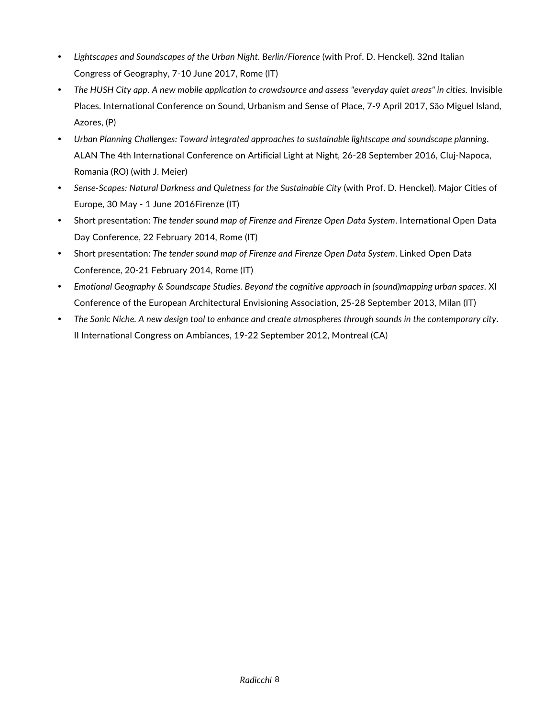- *Lightscapes and Soundscapes of the Urban Night. Berlin/Florence* (with Prof. D. Henckel). 32nd Italian Congress of Geography, 7-10 June 2017, Rome (IT)
- *The HUSH City app*. *A new mobile application to crowdsource and assess "everyday quiet areas" in cities.* Invisible Places. International Conference on Sound, Urbanism and Sense of Place, 7-9 April 2017, São Miguel Island, Azores, (P)
- *Urban Planning Challenges: Toward integrated approaches to sustainable lightscape and soundscape planning*. ALAN The 4th International Conference on Artificial Light at Night, 26-28 September 2016, Cluj-Napoca, Romania (RO) (with J. Meier)
- *Sense-Scapes: Natural Darkness and Quietness for the Sustainable City* (with Prof. D. Henckel). Major Cities of Europe, 30 May - 1 June 2016Firenze (IT)
- Short presentation: *The tender sound map of Firenze and Firenze Open Data System*. International Open Data Day Conference, 22 February 2014, Rome (IT)
- Short presentation: *The tender sound map of Firenze and Firenze Open Data System*. Linked Open Data Conference, 20-21 February 2014, Rome (IT)
- *Emotional Geography & Soundscape Studies. Beyond the cognitive approach in (sound)mapping urban spaces*. XI Conference of the European Architectural Envisioning Association, 25-28 September 2013, Milan (IT)
- *The Sonic Niche. A new design tool to enhance and create atmospheres through sounds in the contemporary city*. II International Congress on Ambiances, 19-22 September 2012, Montreal (CA)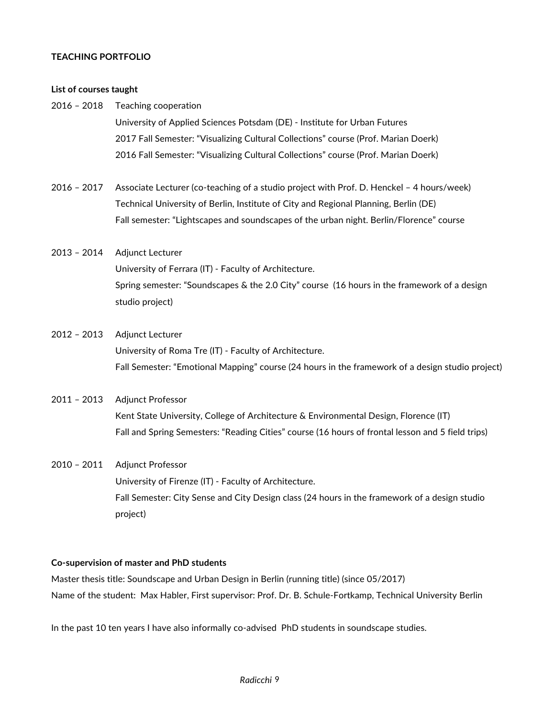## **TEACHING PORTFOLIO**

#### **List of courses taught**

- 2016 2018 Teaching cooperation University of Applied Sciences Potsdam (DE) - Institute for Urban Futures 2017 Fall Semester: "Visualizing Cultural Collections" course (Prof. Marian Doerk) 2016 Fall Semester: "Visualizing Cultural Collections" course (Prof. Marian Doerk)
- 2016 2017 Associate Lecturer (co-teaching of a studio project with Prof. D. Henckel 4 hours/week) Technical University of Berlin, Institute of City and Regional Planning, Berlin (DE) Fall semester: "Lightscapes and soundscapes of the urban night. Berlin/Florence" course

## 2013 – 2014 Adjunct Lecturer University of Ferrara (IT) - Faculty of Architecture. Spring semester: "Soundscapes & the 2.0 City" course (16 hours in the framework of a design studio project)

## 2012 – 2013 Adjunct Lecturer University of Roma Tre (IT) - Faculty of Architecture. Fall Semester: "Emotional Mapping" course (24 hours in the framework of a design studio project)

## 2011 – 2013 Adjunct Professor Kent State University, College of Architecture & Environmental Design, Florence (IT) Fall and Spring Semesters: "Reading Cities" course (16 hours of frontal lesson and 5 field trips)

# 2010 – 2011 Adjunct Professor University of Firenze (IT) - Faculty of Architecture. Fall Semester: City Sense and City Design class (24 hours in the framework of a design studio project)

## **Co-supervision of master and PhD students**

Master thesis title: Soundscape and Urban Design in Berlin (running title) (since 05/2017) Name of the student: Max Habler, First supervisor: Prof. Dr. B. Schule-Fortkamp, Technical University Berlin

In the past 10 ten years I have also informally co-advised PhD students in soundscape studies.